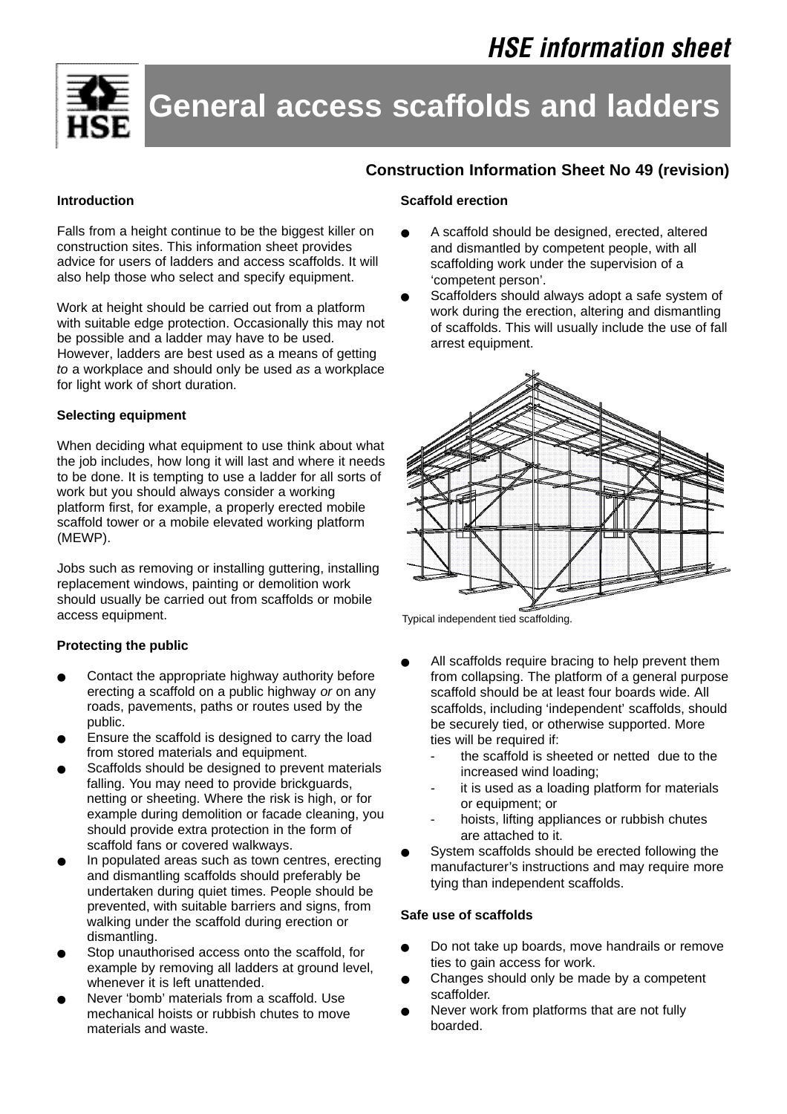

# **General access scaffolds and ladders**

# **Construction Information Sheet No 49 (revision)**

#### **Introduction**

Falls from a height continue to be the biggest killer on construction sites. This information sheet provides advice for users of ladders and access scaffolds. It will also help those who select and specify equipment.

Work at height should be carried out from a platform with suitable edge protection. Occasionally this may not be possible and a ladder may have to be used. However, ladders are best used as a means of getting *to* a workplace and should only be used *as* a workplace for light work of short duration.

# **Selecting equipment**

When deciding what equipment to use think about what the job includes, how long it will last and where it needs to be done. It is tempting to use a ladder for all sorts of work but you should always consider a working platform first, for example, a properly erected mobile scaffold tower or a mobile elevated working platform (MEWP).

Jobs such as removing or installing guttering, installing replacement windows, painting or demolition work should usually be carried out from scaffolds or mobile access equipment.

# **Protecting the public**

- Contact the appropriate highway authority before erecting a scaffold on a public highway *or* on any roads, pavements, paths or routes used by the public.
- Ensure the scaffold is designed to carry the load from stored materials and equipment.
- Scaffolds should be designed to prevent materials falling. You may need to provide brickguards, netting or sheeting. Where the risk is high, or for example during demolition or facade cleaning, you should provide extra protection in the form of scaffold fans or covered walkways.
- In populated areas such as town centres, erecting and dismantling scaffolds should preferably be undertaken during quiet times. People should be prevented, with suitable barriers and signs, from walking under the scaffold during erection or dismantling.
- Stop unauthorised access onto the scaffold, for example by removing all ladders at ground level, whenever it is left unattended.
- Never 'bomb' materials from a scaffold. Use mechanical hoists or rubbish chutes to move materials and waste.

#### **Scaffold erection**

- A scaffold should be designed, erected, altered and dismantled by competent people, with all scaffolding work under the supervision of a 'competent person'.
- Scaffolders should always adopt a safe system of work during the erection, altering and dismantling of scaffolds. This will usually include the use of fall arrest equipment.



Typical independent tied scaffolding.

- All scaffolds require bracing to help prevent them from collapsing. The platform of a general purpose scaffold should be at least four boards wide. All scaffolds, including 'independent' scaffolds, should be securely tied, or otherwise supported. More ties will be required if:
	- the scaffold is sheeted or netted due to the increased wind loading;
	- it is used as a loading platform for materials or equipment; or
	- hoists, lifting appliances or rubbish chutes are attached to it.
- System scaffolds should be erected following the manufacturer's instructions and may require more tying than independent scaffolds.

#### **Safe use of scaffolds**

- Do not take up boards, move handrails or remove ties to gain access for work.
- Changes should only be made by a competent scaffolder.
- Never work from platforms that are not fully boarded.